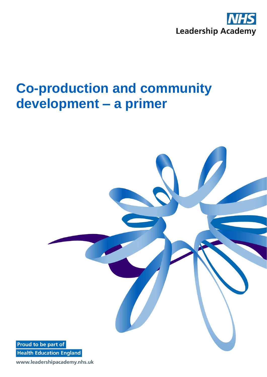

# **Co-production and community development – a primer**



www.leadershipacademy.nhs.uk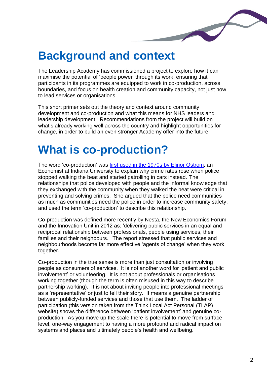

### **Background and context**

The Leadership Academy has commissioned a project to explore how it can maximise the potential of 'people power' through its work, ensuring that participants in its programmes are equipped to work in co-production, across boundaries, and focus on health creation and community capacity, not just how to lead services or organisations.

This short primer sets out the theory and context around community development and co-production and what this means for NHS leaders and leadership development. Recommendations from the project will build on what's already working well across the country and highlight opportunities for change, in order to build an even stronger Academy offer into the future.

## **What is co-production?**

The word 'co-production' was first used in the 1970s by Elinor [Ostrom,](http://onlinelibrary.wiley.com/doi/10.1111/j.1541-0072.1981.tb01208.x/pdf) an Economist at Indiana University to explain why crime rates rose when police stopped walking the beat and started patrolling in cars instead. The relationships that police developed with people and the informal knowledge that they exchanged with the community when they walked the beat were critical in preventing and solving crimes. She argued that the police need communities as much as communities need the police in order to increase community safety, and used the term 'co-production' to describe this relationship.

Co-production was defined more recently by Nesta, the New Economics Forum and the Innovation Unit in 2012 as: 'delivering public services in an equal and reciprocal relationship between professionals, people using services, their families and their neighbours.' The report stressed that public services and neighbourhoods become far more effective 'agents of change' when they work together.

Co-production in the true sense is more than just consultation or involving people as consumers of services. It is not another word for 'patient and public involvement' or volunteering. It is not about professionals or organisations working together (though the term is often misused in this way to describe partnership working). It is not about inviting people into professional meetings as a 'representative' or just to tell their story. It means a genuine partnership between publicly-funded services and those that use them. The ladder of participation (this version taken from the Think Local Act Personal (TLAP) website) shows the difference between 'patient involvement' and genuine coproduction. As you move up the scale there is potential to move from surface level, one-way engagement to having a more profound and radical impact on systems and places and ultimately people's health and wellbeing.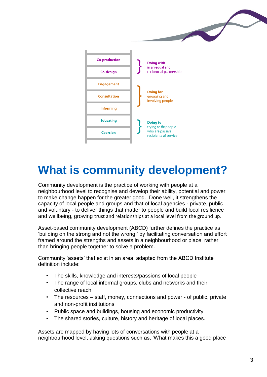

### **What is community development?**

Community development is the practice of working with people at a neighbourhood level to recognise and develop their ability, potential and power to make change happen for the greater good. Done well, it strengthens the capacity of local people and groups and that of local agencies - private, public and voluntary - to deliver things that matter to people and build local resilience and wellbeing, growing trust and relationships at a local level from the ground up.

Asset-based community development (ABCD) further defines the practice as 'building on the strong and not the wrong,' by facilitating conversation and effort framed around the strengths and assets in a neighbourhood or place, rather than bringing people together to solve a problem.

Community 'assets' that exist in an area, adapted from the ABCD Institute definition include:

- The skills, knowledge and interests/passions of local people
- The range of local informal groups, clubs and networks and their collective reach
- The resources staff, money, connections and power of public, private and non-profit institutions
- Public space and buildings, housing and economic productivity
- The shared stories, culture, history and heritage of local places.

Assets are mapped by having lots of conversations with people at a neighbourhood level, asking questions such as, 'What makes this a good place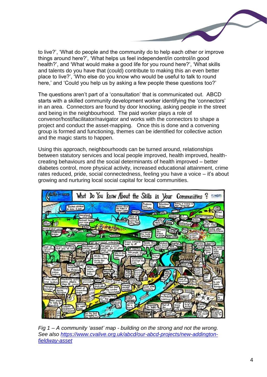to live?', 'What do people and the community do to help each other or improve things around here?', 'What helps us feel independent/in control/in good health?', and 'What would make a good life for you round here?', 'What skills and talents do you have that (could) contribute to making this an even better place to live?', 'Who else do you know who would be useful to talk to round here,' and 'Could you help us by asking a few people these questions too?'

The questions aren't part of a 'consultation' that is communicated out. ABCD starts with a skilled community development worker identifying the 'connectors' in an area. Connectors are found by door knocking, asking people in the street and being in the neighbourhood. The paid worker plays a role of convenor/host/facilitator/navigator and works with the connectors to shape a project and conduct the asset-mapping. Once this is done and a convening group is formed and functioning, themes can be identified for collective action and the magic starts to happen.

Using this approach, neighbourhoods can be turned around, relationships between statutory services and local people improved, health improved, healthcreating behaviours and the social determinants of health improved – better diabetes control, more physical activity, increased educational attainment, crime rates reduced, pride, social connectedness, feeling you have a voice – it's about growing and nurturing local social capital for local communities.



*Fig 1 – A community 'asset' map - building on the strong and not the wrong. See also [https://www.cvalive.org.uk/abcd/our-abcd-projects/new-addington](https://www.cvalive.org.uk/abcd/our-abcd-projects/new-addington-fieldway-asset)[fieldway-asset](https://www.cvalive.org.uk/abcd/our-abcd-projects/new-addington-fieldway-asset)*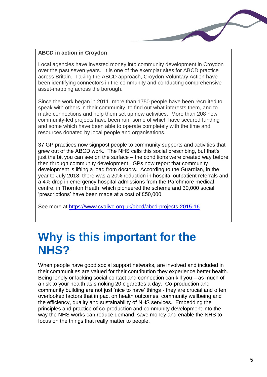#### **ABCD in action in Croydon**

Local agencies have invested money into community development in Croydon over the past seven years. It is one of the exemplar sites for ABCD practice across Britain. Taking the ABCD approach, Croydon Voluntary Action have been identifying connectors in the community and conducting comprehensive asset-mapping across the borough.

Since the work began in 2011, more than 1750 people have been recruited to speak with others in their community, to find out what interests them, and to make connections and help them set up new activities. More than 208 new community-led projects have been run, some of which have secured funding and some which have been able to operate completely with the time and resources donated by local people and organisations.

37 GP practices now signpost people to community supports and activities that grew out of the ABCD work. The NHS calls this social prescribing, but that's just the bit you can see on the surface – the conditions were created way before then through community development. GPs now report that community development is lifting a load from doctors. According to the Guardian, in the year to July 2018, there was a 20% reduction in hospital outpatient referrals and a 4% drop in emergency hospital admissions from the Parchmore medical centre, in Thornton Heath, which pioneered the scheme and 30,000 social 'prescriptions' have been made at a cost of £50,000.

See more at<https://www.cvalive.org.uk/abcd/abcd-projects-2015-16>

### **Why is this important for the NHS?**

When people have good social support networks, are involved and included in their communities are valued for their contribution they experience better health. Being lonely or lacking social contact and connection can kill you – as much of a risk to your health as smoking 20 cigarettes a day. Co-production and community building are not just 'nice to have' things - they are crucial and often overlooked factors that impact on health outcomes, community wellbeing and the efficiency, quality and sustainability of NHS services. Embedding the principles and practice of co-production and community development into the way the NHS works can reduce demand, save money and enable the NHS to focus on the things that really matter to people.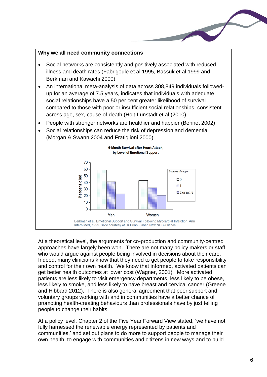#### **Why we all need community connections**

- Social networks are consistently and positively associated with reduced illness and death rates (Fabrigoule et al 1995, Bassuk et al 1999 and Berkman and Kawachi 2000)
- An international meta-analysis of data across 308,849 individuals followedup for an average of 7.5 years, indicates that individuals with adequate social relationships have a 50 per cent greater likelihood of survival compared to those with poor or insufficient social relationships, consistent across age, sex, cause of death (Holt-Lunstadt et al (2010).
- People with stronger networks are healthier and happier (Bennet 2002)





At a theoretical level, the arguments for co-production and community-centred approaches have largely been won. There are not many policy makers or staff who would argue against people being involved in decisions about their care. Indeed, many clinicians know that they need to get people to take responsibility and control for their own health. We know that informed, activated patients can get better health outcomes at lower cost (Wagner, 2001). More activated patients are less likely to visit emergency departments, less likely to be obese, less likely to smoke, and less likely to have breast and cervical cancer (Greene and Hibbard 2012). There is also general agreement that peer support and voluntary groups working with and in communities have a better chance of promoting health-creating behaviours than professionals have by just telling people to change their habits.

At a policy level, Chapter 2 of the Five Year Forward View stated, 'we have not fully harnessed the renewable energy represented by patients and communities,' and set out plans to do more to support people to manage their own health, to engage with communities and citizens in new ways and to build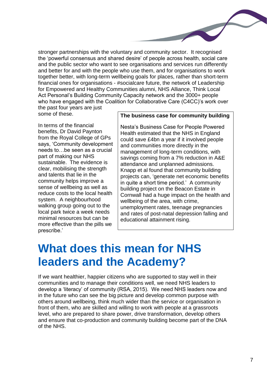stronger partnerships with the voluntary and community sector. It recognised the 'powerful consensus and shared desire' of people across health, social care and the public sector who want to see organisations and services run differently and better for and with the people who use them, and for organisations to work together better, with long-term wellbeing goals for places, rather than short-term financial ones for organisations - #socialcare future, the network of Leadership for Empowered and Healthy Communities alumni, NHS Alliance, Think Local Act Personal's Building Community Capacity network and the 3000+ people who have engaged with the Coalition for Collaborative Care (C4CC)'s work over the past four years are just some of these.

In terms of the financial benefits, Dr David Paynton from the Royal College of GPs says, 'Community development needs to…be seen as a crucial part of making our NHS sustainable. The evidence is clear, mobilising the strength and talents that lie in the community helps improve a sense of wellbeing as well as reduce costs to the local health system. A neighbourhood walking group going out to the local park twice a week needs minimal resources but can be more effective than the pills we prescribe.'

#### **The business case for community building**

Nesta's Business Case for People Powered Health estimated that the NHS in England could save £4bn a year if it involved people and communities more directly in the management of long-term conditions, with savings coming from a 7% reduction in A&E attendance and unplanned admissions. Knapp et al found that community building projects can, 'generate net economic benefits in quite a short time period.' A community building project on the Beacon Estate in Cornwall had a huge impact on the health and wellbeing of the area, with crime, unemployment rates, teenage pregnancies and rates of post-natal depression falling and educational attainment rising.

### **What does this mean for NHS leaders and the Academy?**

If we want healthier, happier citizens who are supported to stay well in their communities and to manage their conditions well, we need NHS leaders to develop a 'literacy' of community (RSA, 2015). We need NHS leaders now and in the future who can see the big picture and develop common purpose with others around wellbeing, think much wider than the service or organisation in front of them, who are skilled and willing to work with people at a grassroots level, who are prepared to share power, drive transformation, develop others and ensure that co-production and community building become part of the DNA of the NHS.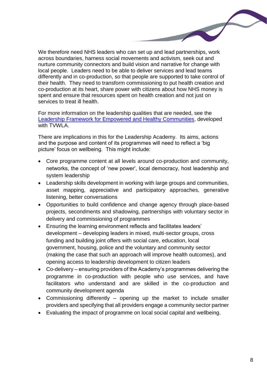We therefore need NHS leaders who can set up and lead partnerships, work across boundaries, harness social movements and activism, seek out and nurture community connectors and build vision and narrative for change with local people. Leaders need to be able to deliver services and lead teams differently and in co-production, so that people are supported to take control of their health. They need to transform commissioning to put health creation and co-production at its heart, share power with citizens about how NHS money is spent and ensure that resources spent on health creation and not just on services to treat ill health.

For more information on the leadership qualities that are needed, see the [Leadership Framework for Empowered and Healthy Communities,](https://www.thinklocalactpersonal.org.uk/_assets/Leadership_Framework_for_Empowered_and_Healthy_Communities_1.pdf) developed with TVWLA.

There are implications in this for the Leadership Academy. Its aims, actions and the purpose and content of its programmes will need to reflect a 'big picture' focus on wellbeing. This might include:

- Core programme content at all levels around co-production and community, networks, the concept of 'new power', local democracy, host leadership and system leadership
- Leadership skills development in working with large groups and communities, asset mapping, appreciative and participatory approaches, generative listening, better conversations
- Opportunities to build confidence and change agency through place-based projects, secondments and shadowing, partnerships with voluntary sector in delivery and commissioning of programmes
- Ensuring the learning environment reflects and facilitates leaders' development – developing leaders in mixed, multi-sector groups, cross funding and building joint offers with social care, education, local government, housing, police and the voluntary and community sector (making the case that such an approach will improve health outcomes), and opening access to leadership development to citizen leaders
- Co-delivery ensuring providers of the Academy's programmes delivering the programme in co-production with people who use services, and have facilitators who understand and are skilled in the co-production and community development agenda
- Commissioning differently opening up the market to include smaller providers and specifying that all providers engage a community sector partner
- Evaluating the impact of programme on local social capital and wellbeing.